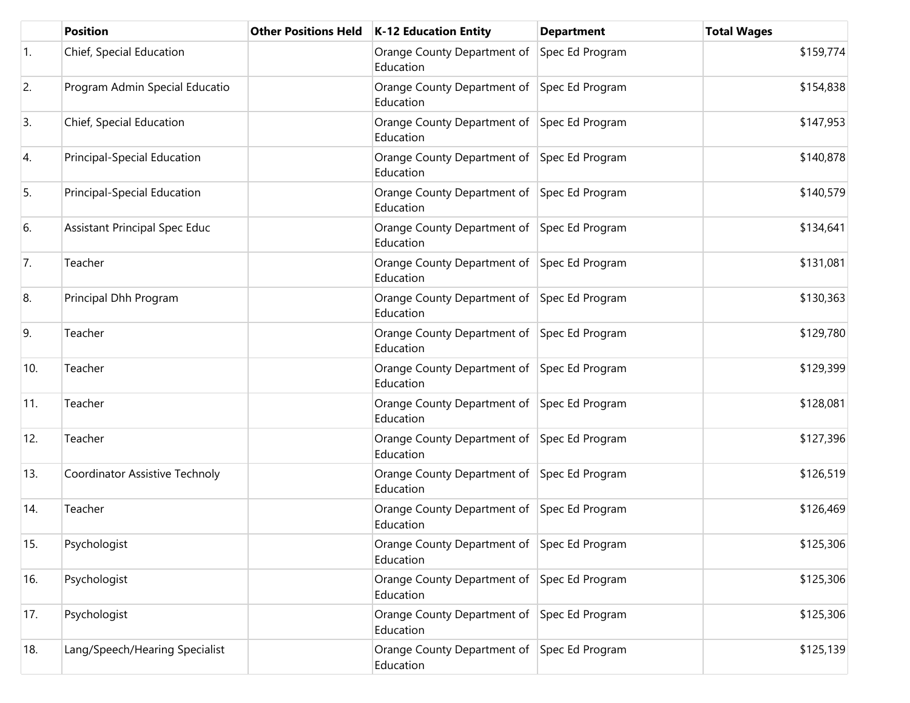|                  | <b>Position</b>                      | <b>Other Positions Held</b> | <b>K-12 Education Entity</b>                             | <b>Department</b> | <b>Total Wages</b> |
|------------------|--------------------------------------|-----------------------------|----------------------------------------------------------|-------------------|--------------------|
| $\overline{1}$ . | Chief, Special Education             |                             | Orange County Department of<br>Education                 | Spec Ed Program   | \$159,774          |
| 2.               | Program Admin Special Educatio       |                             | Orange County Department of Spec Ed Program<br>Education |                   | \$154,838          |
| 3.               | Chief, Special Education             |                             | Orange County Department of Spec Ed Program<br>Education |                   | \$147,953          |
| 4.               | <b>Principal-Special Education</b>   |                             | Orange County Department of Spec Ed Program<br>Education |                   | \$140,878          |
| 5.               | Principal-Special Education          |                             | Orange County Department of Spec Ed Program<br>Education |                   | \$140,579          |
| 6.               | <b>Assistant Principal Spec Educ</b> |                             | Orange County Department of Spec Ed Program<br>Education |                   | \$134,641          |
| 7.               | Teacher                              |                             | Orange County Department of Spec Ed Program<br>Education |                   | \$131,081          |
| 8.               | Principal Dhh Program                |                             | Orange County Department of Spec Ed Program<br>Education |                   | \$130,363          |
| 9.               | Teacher                              |                             | Orange County Department of Spec Ed Program<br>Education |                   | \$129,780          |
| 10.              | Teacher                              |                             | Orange County Department of Spec Ed Program<br>Education |                   | \$129,399          |
| 11.              | Teacher                              |                             | Orange County Department of Spec Ed Program<br>Education |                   | \$128,081          |
| 12.              | Teacher                              |                             | Orange County Department of Spec Ed Program<br>Education |                   | \$127,396          |
| 13.              | Coordinator Assistive Technoly       |                             | Orange County Department of Spec Ed Program<br>Education |                   | \$126,519          |
| 14.              | Teacher                              |                             | Orange County Department of Spec Ed Program<br>Education |                   | \$126,469          |
| 15.              | Psychologist                         |                             | Orange County Department of Spec Ed Program<br>Education |                   | \$125,306          |
| 16.              | Psychologist                         |                             | Orange County Department of Spec Ed Program<br>Education |                   | \$125,306          |
| 17.              | Psychologist                         |                             | Orange County Department of Spec Ed Program<br>Education |                   | \$125,306          |
| 18.              | Lang/Speech/Hearing Specialist       |                             | Orange County Department of Spec Ed Program<br>Education |                   | \$125,139          |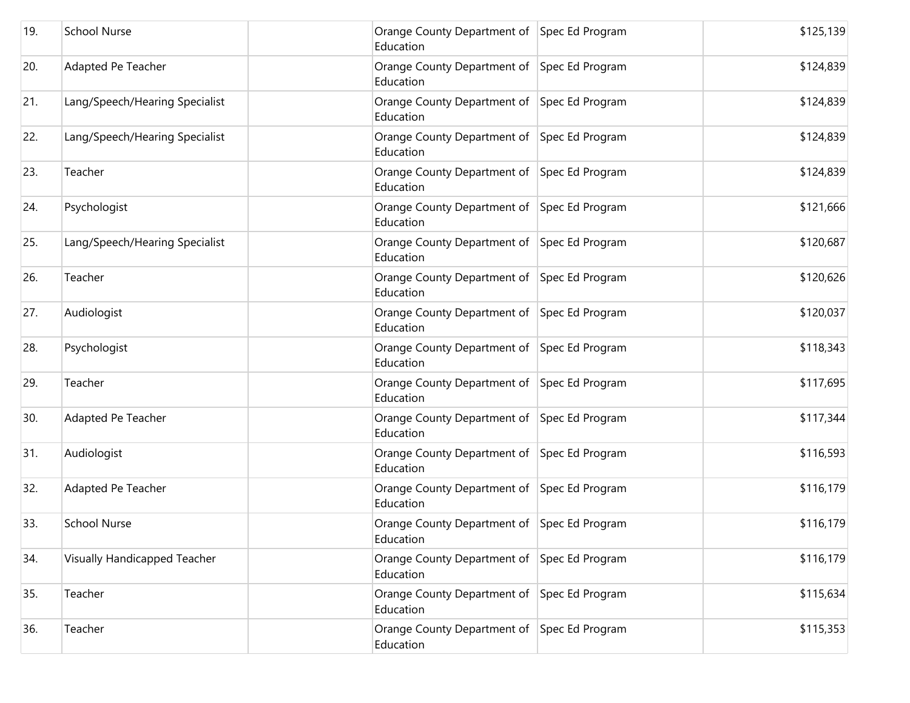| 19. | <b>School Nurse</b>            | Orange County Department of Spec Ed Program<br>Education | \$125,139 |
|-----|--------------------------------|----------------------------------------------------------|-----------|
| 20. | Adapted Pe Teacher             | Orange County Department of Spec Ed Program<br>Education | \$124,839 |
| 21. | Lang/Speech/Hearing Specialist | Orange County Department of Spec Ed Program<br>Education | \$124,839 |
| 22. | Lang/Speech/Hearing Specialist | Orange County Department of Spec Ed Program<br>Education | \$124,839 |
| 23. | Teacher                        | Orange County Department of Spec Ed Program<br>Education | \$124,839 |
| 24. | Psychologist                   | Orange County Department of Spec Ed Program<br>Education | \$121,666 |
| 25. | Lang/Speech/Hearing Specialist | Orange County Department of Spec Ed Program<br>Education | \$120,687 |
| 26. | Teacher                        | Orange County Department of Spec Ed Program<br>Education | \$120,626 |
| 27. | Audiologist                    | Orange County Department of Spec Ed Program<br>Education | \$120,037 |
| 28. | Psychologist                   | Orange County Department of Spec Ed Program<br>Education | \$118,343 |
| 29. | Teacher                        | Orange County Department of Spec Ed Program<br>Education | \$117,695 |
| 30. | Adapted Pe Teacher             | Orange County Department of Spec Ed Program<br>Education | \$117,344 |
| 31. | Audiologist                    | Orange County Department of Spec Ed Program<br>Education | \$116,593 |
| 32. | Adapted Pe Teacher             | Orange County Department of Spec Ed Program<br>Education | \$116,179 |
| 33. | <b>School Nurse</b>            | Orange County Department of Spec Ed Program<br>Education | \$116,179 |
| 34. | Visually Handicapped Teacher   | Orange County Department of Spec Ed Program<br>Education | \$116,179 |
| 35. | Teacher                        | Orange County Department of Spec Ed Program<br>Education | \$115,634 |
| 36. | Teacher                        | Orange County Department of Spec Ed Program<br>Education | \$115,353 |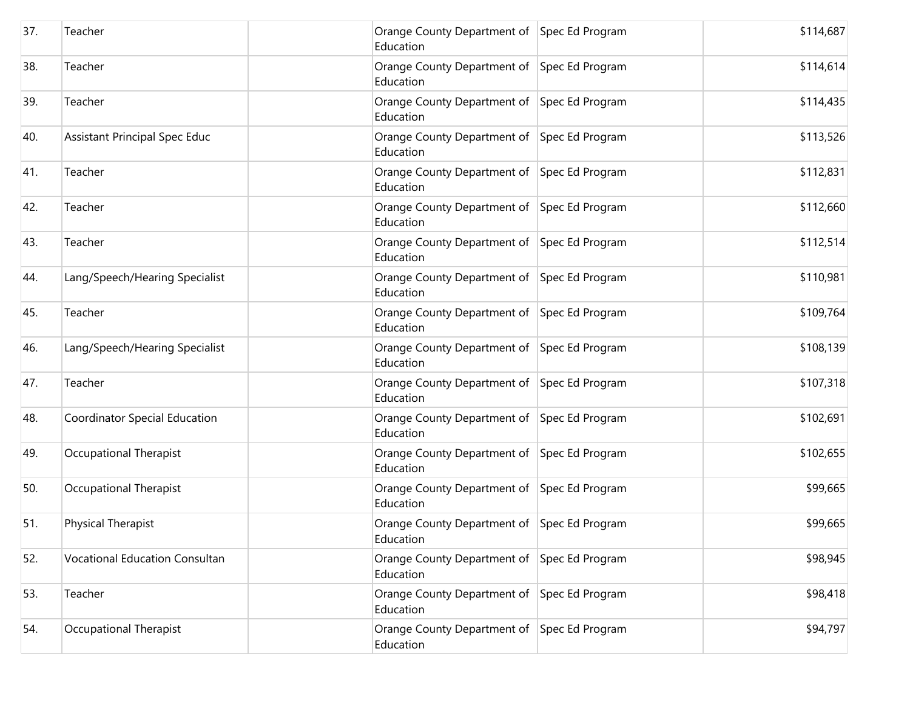| 37. | Teacher                               | Orange County Department of Spec Ed Program<br>Education | \$114,687 |
|-----|---------------------------------------|----------------------------------------------------------|-----------|
| 38. | Teacher                               | Orange County Department of Spec Ed Program<br>Education | \$114,614 |
| 39. | Teacher                               | Orange County Department of Spec Ed Program<br>Education | \$114,435 |
| 40. | Assistant Principal Spec Educ         | Orange County Department of Spec Ed Program<br>Education | \$113,526 |
| 41. | Teacher                               | Orange County Department of Spec Ed Program<br>Education | \$112,831 |
| 42. | Teacher                               | Orange County Department of Spec Ed Program<br>Education | \$112,660 |
| 43. | Teacher                               | Orange County Department of Spec Ed Program<br>Education | \$112,514 |
| 44. | Lang/Speech/Hearing Specialist        | Orange County Department of Spec Ed Program<br>Education | \$110,981 |
| 45. | Teacher                               | Orange County Department of Spec Ed Program<br>Education | \$109,764 |
| 46. | Lang/Speech/Hearing Specialist        | Orange County Department of Spec Ed Program<br>Education | \$108,139 |
| 47. | Teacher                               | Orange County Department of Spec Ed Program<br>Education | \$107,318 |
| 48. | Coordinator Special Education         | Orange County Department of Spec Ed Program<br>Education | \$102,691 |
| 49. | Occupational Therapist                | Orange County Department of Spec Ed Program<br>Education | \$102,655 |
| 50. | Occupational Therapist                | Orange County Department of Spec Ed Program<br>Education | \$99,665  |
| 51. | Physical Therapist                    | Orange County Department of Spec Ed Program<br>Education | \$99,665  |
| 52. | <b>Vocational Education Consultan</b> | Orange County Department of Spec Ed Program<br>Education | \$98,945  |
| 53. | Teacher                               | Orange County Department of Spec Ed Program<br>Education | \$98,418  |
| 54. | Occupational Therapist                | Orange County Department of Spec Ed Program<br>Education | \$94,797  |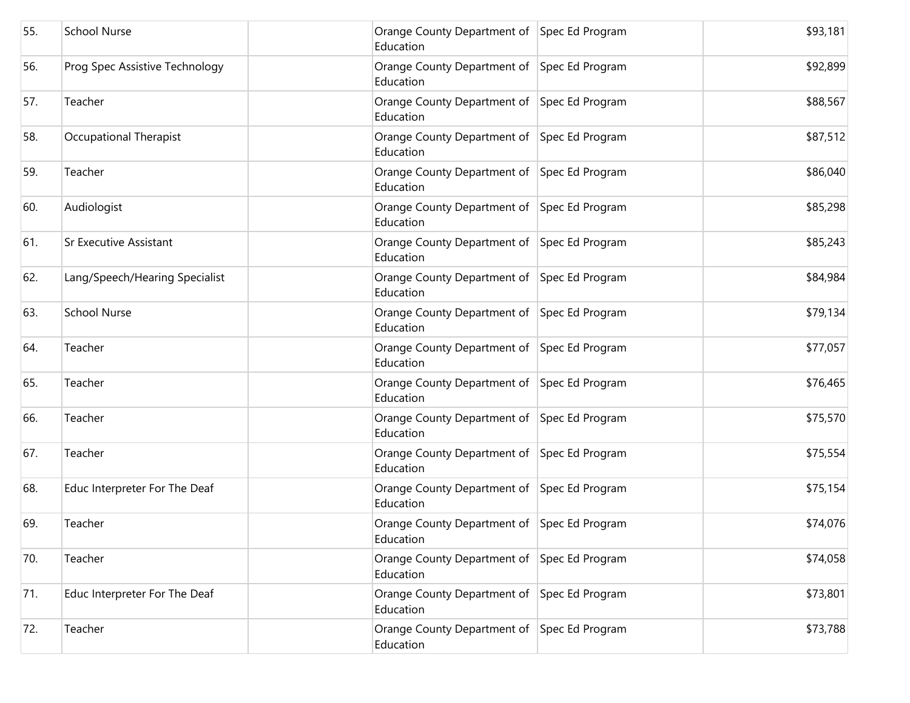| 55. | <b>School Nurse</b>            | Orange County Department of Spec Ed Program<br>Education | \$93,181 |
|-----|--------------------------------|----------------------------------------------------------|----------|
| 56. | Prog Spec Assistive Technology | Orange County Department of Spec Ed Program<br>Education | \$92,899 |
| 57. | Teacher                        | Orange County Department of Spec Ed Program<br>Education | \$88,567 |
| 58. | Occupational Therapist         | Orange County Department of Spec Ed Program<br>Education | \$87,512 |
| 59. | Teacher                        | Orange County Department of Spec Ed Program<br>Education | \$86,040 |
| 60. | Audiologist                    | Orange County Department of Spec Ed Program<br>Education | \$85,298 |
| 61. | <b>Sr Executive Assistant</b>  | Orange County Department of Spec Ed Program<br>Education | \$85,243 |
| 62. | Lang/Speech/Hearing Specialist | Orange County Department of Spec Ed Program<br>Education | \$84,984 |
| 63. | <b>School Nurse</b>            | Orange County Department of Spec Ed Program<br>Education | \$79,134 |
| 64. | Teacher                        | Orange County Department of Spec Ed Program<br>Education | \$77,057 |
| 65. | Teacher                        | Orange County Department of Spec Ed Program<br>Education | \$76,465 |
| 66. | Teacher                        | Orange County Department of Spec Ed Program<br>Education | \$75,570 |
| 67. | Teacher                        | Orange County Department of Spec Ed Program<br>Education | \$75,554 |
| 68. | Educ Interpreter For The Deaf  | Orange County Department of Spec Ed Program<br>Education | \$75,154 |
| 69. | Teacher                        | Orange County Department of Spec Ed Program<br>Education | \$74,076 |
| 70. | Teacher                        | Orange County Department of Spec Ed Program<br>Education | \$74,058 |
| 71. | Educ Interpreter For The Deaf  | Orange County Department of Spec Ed Program<br>Education | \$73,801 |
| 72. | Teacher                        | Orange County Department of Spec Ed Program<br>Education | \$73,788 |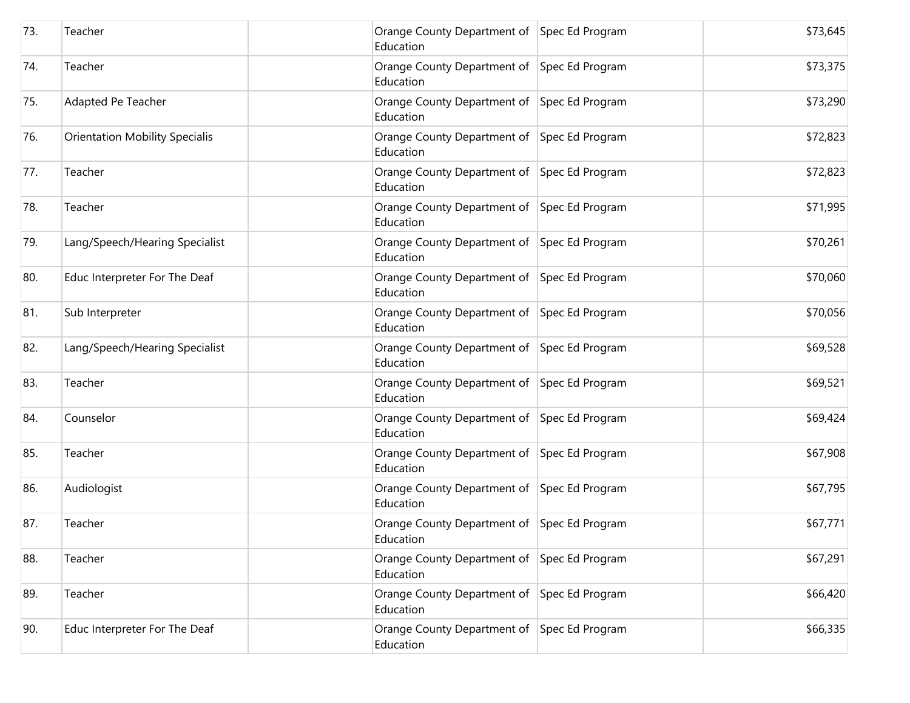| 73. | Teacher                               | Orange County Department of Spec Ed Program<br>Education | \$73,645 |
|-----|---------------------------------------|----------------------------------------------------------|----------|
| 74. | Teacher                               | Orange County Department of Spec Ed Program<br>Education | \$73,375 |
| 75. | Adapted Pe Teacher                    | Orange County Department of Spec Ed Program<br>Education | \$73,290 |
| 76. | <b>Orientation Mobility Specialis</b> | Orange County Department of Spec Ed Program<br>Education | \$72,823 |
| 77. | Teacher                               | Orange County Department of Spec Ed Program<br>Education | \$72,823 |
| 78. | Teacher                               | Orange County Department of Spec Ed Program<br>Education | \$71,995 |
| 79. | Lang/Speech/Hearing Specialist        | Orange County Department of Spec Ed Program<br>Education | \$70,261 |
| 80. | Educ Interpreter For The Deaf         | Orange County Department of Spec Ed Program<br>Education | \$70,060 |
| 81. | Sub Interpreter                       | Orange County Department of Spec Ed Program<br>Education | \$70,056 |
| 82. | Lang/Speech/Hearing Specialist        | Orange County Department of Spec Ed Program<br>Education | \$69,528 |
| 83. | Teacher                               | Orange County Department of Spec Ed Program<br>Education | \$69,521 |
| 84. | Counselor                             | Orange County Department of Spec Ed Program<br>Education | \$69,424 |
| 85. | Teacher                               | Orange County Department of Spec Ed Program<br>Education | \$67,908 |
| 86. | Audiologist                           | Orange County Department of Spec Ed Program<br>Education | \$67,795 |
| 87. | Teacher                               | Orange County Department of Spec Ed Program<br>Education | \$67,771 |
| 88. | Teacher                               | Orange County Department of Spec Ed Program<br>Education | \$67,291 |
| 89. | Teacher                               | Orange County Department of Spec Ed Program<br>Education | \$66,420 |
| 90. | Educ Interpreter For The Deaf         | Orange County Department of Spec Ed Program<br>Education | \$66,335 |